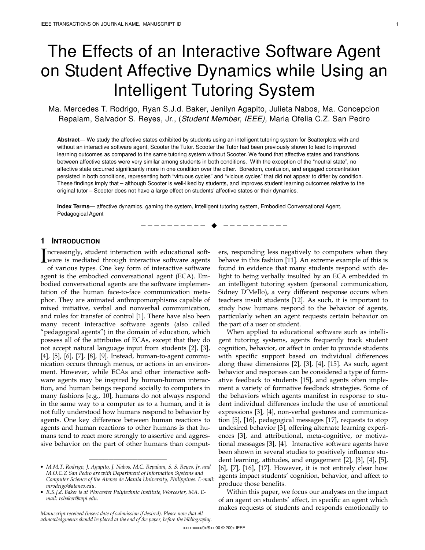# The Effects of an Interactive Software Agent on Student Affective Dynamics while Using an Intelligent Tutoring System

Ma. Mercedes T. Rodrigo, Ryan S.J.d. Baker, Jenilyn Agapito, Julieta Nabos, Ma. Concepcion Repalam, Salvador S. Reyes, Jr., (Student Member, IEEE), Maria Ofelia C.Z. San Pedro

**Abstract**— We study the affective states exhibited by students using an intelligent tutoring system for Scatterplots with and without an interactive software agent, Scooter the Tutor. Scooter the Tutor had been previously shown to lead to improved learning outcomes as compared to the same tutoring system without Scooter. We found that affective states and transitions between affective states were very similar among students in both conditions. With the exception of the "neutral state", no affective state occurred significantly more in one condition over the other. Boredom, confusion, and engaged concentration persisted in both conditions, representing both "virtuous cycles" and "vicious cycles" that did not appear to differ by condition. These findings imply that – although Scooter is well-liked by students, and improves student learning outcomes relative to the original tutor – Scooter does not have a large effect on students' affective states or their dynamics.

—————————— ——————————

**Index Terms**— affective dynamics, gaming the system, intelligent tutoring system, Embodied Conversational Agent, Pedagogical Agent

## **1 INTRODUCTION**

ncreasingly, student interaction with educational soft-Increasingly, student interaction with educational soft-<br>ware is mediated through interactive software agents<br>of various types. One low form of interactive software of various types. One key form of interactive software agent is the embodied conversational agent (ECA). Embodied conversational agents are the software implementation of the human face-to-face communication metaphor. They are animated anthropomorphisms capable of mixed initiative, verbal and nonverbal communication, and rules for transfer of control [1]. There have also been many recent interactive software agents (also called "pedagogical agents") in the domain of education, which possess all of the attributes of ECAs, except that they do not accept natural language input from students [2], [3], [4], [5], [6], [7], [8], [9]. Instead, human-to-agent communication occurs through menus, or actions in an environment. However, while ECAs and other interactive software agents may be inspired by human-human interaction, and human beings respond socially to computers in many fashions [e.g., 10], humans do not always respond in the same way to a computer as to a human, and it is not fully understood how humans respond to behavior by agents. One key difference between human reactions to agents and human reactions to other humans is that humans tend to react more strongly to assertive and aggressive behavior on the part of other humans than comput-

————————————————

Manuscript received (insert date of submission if desired). Please note that all acknowledgments should be placed at the end of the paper, before the bibliography. ers, responding less negatively to computers when they behave in this fashion [11]. An extreme example of this is found in evidence that many students respond with delight to being verbally insulted by an ECA embedded in an intelligent tutoring system (personal communication, Sidney D'Mello), a very different response occurs when teachers insult students [12]. As such, it is important to study how humans respond to the behavior of agents, particularly when an agent requests certain behavior on the part of a user or student.

When applied to educational software such as intelligent tutoring systems, agents frequently track student cognition, behavior, or affect in order to provide students with specific support based on individual differences along these dimensions [2], [3], [4], [15]. As such, agent behavior and responses can be considered a type of formative feedback to students [15], and agents often implement a variety of formative feedback strategies. Some of the behaviors which agents manifest in response to student individual differences include the use of emotional expressions [3], [4], non-verbal gestures and communication [5], [16], pedagogical messages [17], requests to stop undesired behavior [3], offering alternate learning experiences [3], and attributional, meta-cognitive, or motivational messages [3], [4]. Interactive software agents have been shown in several studies to positively influence student learning, attitudes, and engagement [2], [3], [4], [5], [6], [7], [16], [17]. However, it is not entirely clear how agents impact students' cognition, behavior, and affect to produce those benefits.

Within this paper, we focus our analyses on the impact of an agent on students' affect, in specific an agent which makes requests of students and responds emotionally to

<sup>•</sup> M.M.T. Rodrigo, J. Agapito, J. Nabos, M.C. Repalam, S. S. Reyes, Jr. and M.O.C.Z San Pedro are with Department of Information Systems and Computer Science of the Ateneo de Manila University, Philippines. E-mail: mrodrigo@ateneo.edu.

<sup>•</sup> R.S.J.d. Baker is at Worcester Polytechnic Institute, Worcester, MA. Email: rsbaker@wpi.edu.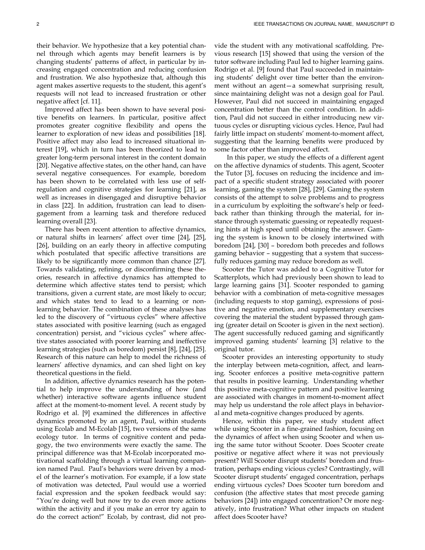their behavior. We hypothesize that a key potential channel through which agents may benefit learners is by changing students' patterns of affect, in particular by increasing engaged concentration and reducing confusion and frustration. We also hypothesize that, although this agent makes assertive requests to the student, this agent's requests will not lead to increased frustration or other negative affect [cf. 11].

Improved affect has been shown to have several positive benefits on learners. In particular, positive affect promotes greater cognitive flexibility and opens the learner to exploration of new ideas and possibilities [18]. Positive affect may also lead to increased situational interest [19], which in turn has been theorized to lead to greater long-term personal interest in the content domain [20]. Negative affective states, on the other hand, can have several negative consequences. For example, boredom has been shown to be correlated with less use of selfregulation and cognitive strategies for learning [21], as well as increases in disengaged and disruptive behavior in class [22]. In addition, frustration can lead to disengagement from a learning task and therefore reduced learning overall [23].

There has been recent attention to affective dynamics, or natural shifts in learners' affect over time [24], [25], [26], building on an early theory in affective computing which postulated that specific affective transitions are likely to be significantly more common than chance [27]. Towards validating, refining, or disconfirming these theories, research in affective dynamics has attempted to determine which affective states tend to persist; which transitions, given a current state, are most likely to occur; and which states tend to lead to a learning or nonlearning behavior. The combination of these analyses has led to the discovery of "virtuous cycles" where affective states associated with positive learning (such as engaged concentration) persist, and "vicious cycles" where affective states associated with poorer learning and ineffective learning strategies (such as boredom) persist [8], [24], [25]. Research of this nature can help to model the richness of learners' affective dynamics, and can shed light on key theoretical questions in the field.

In addition, affective dynamics research has the potential to help improve the understanding of how (and whether) interactive software agents influence student affect at the moment-to-moment level. A recent study by Rodrigo et al. [9] examined the differences in affective dynamics promoted by an agent, Paul, within students using Ecolab and M-Ecolab [15], two versions of the same ecology tutor. In terms of cognitive content and pedagogy, the two environments were exactly the same. The principal difference was that M-Ecolab incorporated motivational scaffolding through a virtual learning companion named Paul. Paul's behaviors were driven by a model of the learner's motivation. For example, if a low state of motivation was detected, Paul would use a worried facial expression and the spoken feedback would say: "You're doing well but now try to do even more actions within the activity and if you make an error try again to do the correct action!" Ecolab, by contrast, did not provide the student with any motivational scaffolding. Previous research [15] showed that using the version of the tutor software including Paul led to higher learning gains. Rodrigo et al. [9] found that Paul succeeded in maintaining students' delight over time better than the environment without an agent—a somewhat surprising result, since maintaining delight was not a design goal for Paul. However, Paul did not succeed in maintaining engaged concentration better than the control condition. In addition, Paul did not succeed in either introducing new virtuous cycles or disrupting vicious cycles. Hence, Paul had fairly little impact on students' moment-to-moment affect, suggesting that the learning benefits were produced by some factor other than improved affect.

In this paper, we study the effects of a different agent on the affective dynamics of students. This agent, Scooter the Tutor [3], focuses on reducing the incidence and impact of a specific student strategy associated with poorer learning, gaming the system [28], [29]. Gaming the system consists of the attempt to solve problems and to progress in a curriculum by exploiting the software's help or feedback rather than thinking through the material, for instance through systematic guessing or repeatedly requesting hints at high speed until obtaining the answer. Gaming the system is known to be closely intertwined with boredom [24], [30] – boredom both precedes and follows gaming behavior – suggesting that a system that successfully reduces gaming may reduce boredom as well.

Scooter the Tutor was added to a Cognitive Tutor for Scatterplots, which had previously been shown to lead to large learning gains [31]. Scooter responded to gaming behavior with a combination of meta-cognitive messages (including requests to stop gaming), expressions of positive and negative emotion, and supplementary exercises covering the material the student bypassed through gaming (greater detail on Scooter is given in the next section). The agent successfully reduced gaming and significantly improved gaming students' learning [3] relative to the original tutor.

Scooter provides an interesting opportunity to study the interplay between meta-cognition, affect, and learning. Scooter enforces a positive meta-cognitive pattern that results in positive learning. Understanding whether this positive meta-cognitive pattern and positive learning are associated with changes in moment-to-moment affect may help us understand the role affect plays in behavioral and meta-cognitive changes produced by agents.

Hence, within this paper, we study student affect while using Scooter in a fine-grained fashion, focusing on the dynamics of affect when using Scooter and when using the same tutor without Scooter. Does Scooter create positive or negative affect where it was not previously present? Will Scooter disrupt students' boredom and frustration, perhaps ending vicious cycles? Contrastingly, will Scooter disrupt students' engaged concentration, perhaps ending virtuous cycles? Does Scooter turn boredom and confusion (the affective states that most precede gaming behaviors [24]) into engaged concentration? Or more negatively, into frustration? What other impacts on student affect does Scooter have?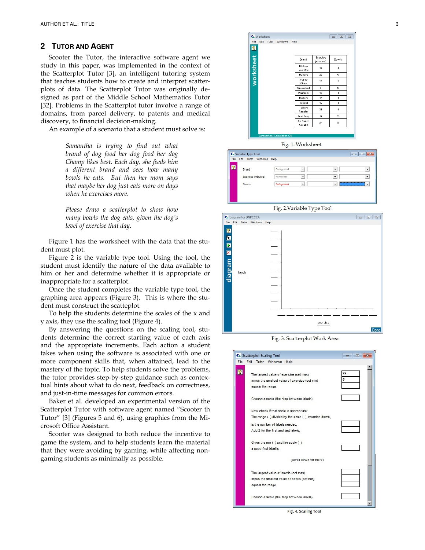## **2 TUTOR AND AGENT**

Scooter the Tutor, the interactive software agent we study in this paper, was implemented in the context of the Scatterplot Tutor [3], an intelligent tutoring system that teaches students how to create and interpret scatterplots of data. The Scatterplot Tutor was originally designed as part of the Middle School Mathematics Tutor [32]. Problems in the Scatterplot tutor involve a range of domains, from parcel delivery, to patents and medical discovery, to financial decision-making.

An example of a scenario that a student must solve is:

Samantha is trying to find out what brand of dog food her dog food her dog Champ likes best. Each day, she feeds him a different brand and sees how many bowls he eats. But then her mom says that maybe her dog just eats more on days when he exercises more.

Please draw a scatterplot to show how many bowls the dog eats, given the dog's level of exercise that day.

Figure 1 has the worksheet with the data that the student must plot.

Figure 2 is the variable type tool. Using the tool, the student must identify the nature of the data available to him or her and determine whether it is appropriate or inappropriate for a scatterplot.

Once the student completes the variable type tool, the graphing area appears (Figure 3). This is where the student must construct the scatteplot.

To help the students determine the scales of the x and y axis, they use the scaling tool (Figure 4).

By answering the questions on the scaling tool, students determine the correct starting value of each axis and the appropriate increments. Each action a student takes when using the software is associated with one or more component skills that, when attained, lead to the mastery of the topic. To help students solve the problems, the tutor provides step-by-step guidance such as contextual hints about what to do next, feedback on correctness, and just-in-time messages for common errors.

Baker et al. developed an experimental version of the Scatterplot Tutor with software agent named "Scooter th Tutor" [3] (Figures 5 and 6), using graphics from the Microsoft Office Assistant.

Scooter was designed to both reduce the incentive to game the system, and to help students learn the material that they were avoiding by gaming, while affecting nongaming students as minimally as possible.



Fig. 1. Worksheet





 $\overline{2}$  $\overline{\mathbf{N}}$ 

 $\overline{\mathbf{D}}$  $\overline{\mathbf{x}}$ diagram bowls exercise Done

Fig. 3. Scatterplot Work Area

| C. Scatterplot Scaling Tool                                                                                    | $\overline{a}$ |
|----------------------------------------------------------------------------------------------------------------|----------------|
| File<br>Edit<br>Tutor Windows<br>Help                                                                          |                |
| The largest value of exercise (set max)<br>minus the smallest value of exercise (set min)<br>equals the range. | 38<br>5        |
| Choose a scale (the step between labels)                                                                       |                |
| Now check if that scale is appropriate:                                                                        |                |
| The range () divided by the scale (), rounded down,                                                            |                |
| is the number of labels needed.                                                                                |                |
| Add 2 for the first and last labels.                                                                           |                |
| Given the min () and the scale ()                                                                              |                |
| a good first label is                                                                                          |                |
| (scroll down for more)                                                                                         |                |
| The largest value of bowls (set max)                                                                           |                |
| minus the smallest value of bowls (set min)                                                                    |                |
| equals the range.                                                                                              |                |
| Choose a scale (the step between labels)                                                                       |                |
|                                                                                                                |                |

Fig. 4. Scaling Tool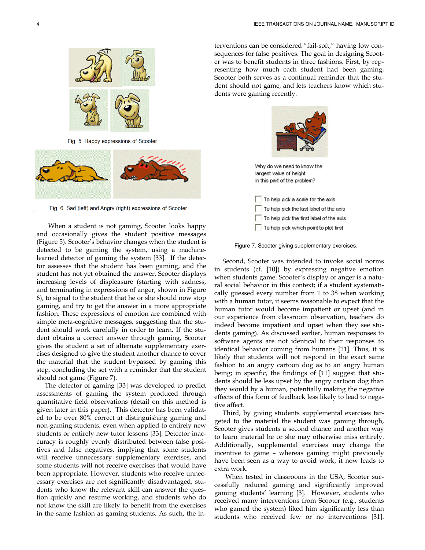

Fig. 5. Happy expressions of Scooter



Fig. 6. Sad (left) and Angry (right) expressions of Scooter

 When a student is not gaming, Scooter looks happy and occasionally gives the student positive messages (Figure 5). Scooter's behavior changes when the student is detected to be gaming the system, using a machinelearned detector of gaming the system [33]. If the detector assesses that the student has been gaming, and the student has not yet obtained the answer, Scooter displays increasing levels of displeasure (starting with sadness, and terminating in expressions of anger, shown in Figure 6), to signal to the student that he or she should now stop gaming, and try to get the answer in a more appropriate fashion. These expressions of emotion are combined with simple meta-cognitive messages, suggesting that the student should work carefully in order to learn. If the student obtains a correct answer through gaming, Scooter gives the student a set of alternate supplementary exercises designed to give the student another chance to cover the material that the student bypassed by gaming this step, concluding the set with a reminder that the student should not game (Figure 7).

The detector of gaming [33] was developed to predict assessments of gaming the system produced through quantitative field observations (detail on this method is given later in this paper). This detector has been validated to be over 80% correct at distinguishing gaming and non-gaming students, even when applied to entirely new students or entirely new tutor lessons [33]. Detector inaccuracy is roughly evenly distributed between false positives and false negatives, implying that some students will receive unnecessary supplementary exercises, and some students will not receive exercises that would have been appropriate. However, students who receive unnecessary exercises are not significantly disadvantaged; students who know the relevant skill can answer the question quickly and resume working, and students who do not know the skill are likely to benefit from the exercises in the same fashion as gaming students. As such, the in-

terventions can be considered "fail-soft," having low consequences for false positives. The goal in designing Scooter was to benefit students in three fashions. First, by representing how much each student had been gaming, Scooter both serves as a continual reminder that the student should not game, and lets teachers know which students were gaming recently.



To help pick the last label of the axis To help pick the first label of the axis

To help pick which point to plot first

Figure 7. Scooter giving supplementary exercises.

Second, Scooter was intended to invoke social norms in students (cf. [10]) by expressing negative emotion when students game. Scooter's display of anger is a natural social behavior in this context; if a student systematically guessed every number from 1 to 38 when working with a human tutor, it seems reasonable to expect that the human tutor would become impatient or upset (and in our experience from classroom observation, teachers do indeed become impatient and upset when they see students gaming). As discussed earlier, human responses to software agents are not identical to their responses to identical behavior coming from humans [11]. Thus, it is likely that students will not respond in the exact same fashion to an angry cartoon dog as to an angry human being; in specific, the findings of [11] suggest that students should be less upset by the angry cartoon dog than they would by a human, potentially making the negative effects of this form of feedback less likely to lead to negative affect.

Third, by giving students supplemental exercises targeted to the material the student was gaming through, Scooter gives students a second chance and another way to learn material he or she may otherwise miss entirely. Additionally, supplemental exercises may change the incentive to game – whereas gaming might previously have been seen as a way to avoid work, it now leads to extra work.

When tested in classrooms in the USA, Scooter successfully reduced gaming and significantly improved gaming students' learning [3]. However, students who received many interventions from Scooter (e.g., students who gamed the system) liked him significantly less than students who received few or no interventions [31].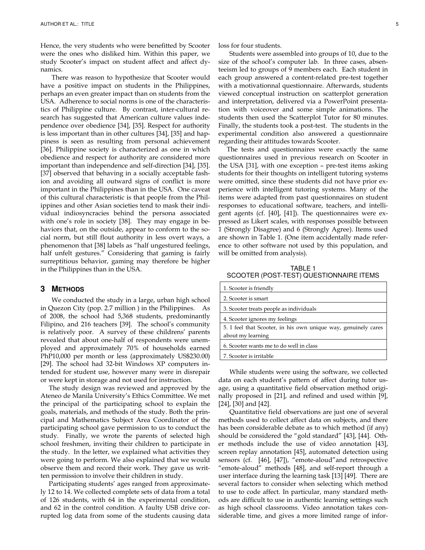Hence, the very students who were benefitted by Scooter were the ones who disliked him. Within this paper, we study Scooter's impact on student affect and affect dynamics.

There was reason to hypothesize that Scooter would have a positive impact on students in the Philippines, perhaps an even greater impact than on students from the USA. Adherence to social norms is one of the characteristics of Philippine culture. By contrast, inter-cultural research has suggested that American culture values independence over obedience [34], [35]. Respect for authority is less important than in other cultures [34], [35] and happiness is seen as resulting from personal achievement [36]. Philippine society is characterized as one in which obedience and respect for authority are considered more important than independence and self-direction [34], [35]. [37] observed that behaving in a socially acceptable fashion and avoiding all outward signs of conflict is more important in the Philippines than in the USA. One caveat of this cultural characteristic is that people from the Philippines and other Asian societies tend to mask their individual indiosyncracies behind the persona associated with one's role in society [38]. They may engage in behaviors that, on the outside, appear to conform to the social norm, but still flout authority in less overt ways, a phenomenon that [38] labels as "half ungestured feelings, half unfelt gestures." Considering that gaming is fairly surreptitious behavior, gaming may therefore be higher in the Philippines than in the USA.

## **3 METHODS**

We conducted the study in a large, urban high school in Quezon City (pop. 2.7 million ) in the Philippines. As of 2008, the school had 5,368 students, predominantly Filipino, and 216 teachers [39]. The school's community is relatively poor. A survey of these childrens' parents revealed that about one-half of respondents were unemployed and approximately 70% of households earned PhP10,000 per month or less (approximately US\$230.00) [29]. The school had 32-bit Windows XP computers intended for student use, however many were in disrepair or were kept in storage and not used for instruction.

The study design was reviewed and approved by the Ateneo de Manila University's Ethics Committee. We met the principal of the participating school to explain the goals, materials, and methods of the study. Both the principal and Mathematics Subject Area Coordinator of the participating school gave permission to us to conduct the study. Finally, we wrote the parents of selected high school freshmen, inviting their children to participate in the study. In the letter, we explained what activities they were going to perform. We also explained that we would observe them and record their work. They gave us written permission to involve their children in study.

Participating students' ages ranged from approximately 12 to 14. We collected complete sets of data from a total of 126 students, with 64 in the experimental condition, and 62 in the control condition. A faulty USB drive corrupted log data from some of the students causing data loss for four students.

Students were assembled into groups of 10, due to the size of the school's computer lab. In three cases, absenteeism led to groups of 9 members each. Each student in each group answered a content-related pre-test together with a motivationnal questionnaire. Afterwards, students viewed conceptual instruction on scatterplot generation and interpretation, delivered via a PowerPoint presentation with voiceover and some simple animations. The students then used the Scatterplot Tutor for 80 minutes. Finally, the students took a post-test. The students in the experimental condition also answered a questionnaire regarding their attitudes towards Scooter.

The tests and questionnaires were exactly the same questionnaires used in previous research on Scooter in the USA [31], with one exception – pre-test items asking students for their thoughts on intelligent tutoring systems were omitted, since these students did not have prior experience with intelligent tutoring systems. Many of the items were adapted from past questionnaires on student responses to educational software, teachers, and intelligent agents (cf. [40], [41]). The questionnaires were expressed as Likert scales, with responses possible between 1 (Strongly Disagree) and 6 (Strongly Agree). Items used are shown in Table 1. (One item accidentally made reference to other software not used by this population, and will be omitted from analysis).

TABLE 1 SCOOTER (POST-TEST) QUESTIONNAIRE ITEMS

| 1. Scooter is friendly                                         |
|----------------------------------------------------------------|
| 2. Scooter is smart                                            |
| 3. Scooter treats people as individuals                        |
| 4. Scooter ignores my feelings                                 |
| 5. I feel that Scooter, in his own unique way, genuinely cares |
| about my learning                                              |
| 6. Scooter wants me to do well in class                        |
| 7. Scooter is irritable                                        |

While students were using the software, we collected data on each student's pattern of affect during tutor usage, using a quantitative field observation method originally proposed in [21], and refined and used within [9], [24], [30] and [42].

Quantitative field observations are just one of several methods used to collect affect data on subjects, and there has been considerable debate as to which method (if any) should be considered the "gold standard" [43], [44]. Other methods include the use of video annotation [43], screen replay annotation [45], automated detection using sensors (cf. [46], [47]), "emote-aloud"and retrospective "emote-aloud" methods [48], and self-report through a user interface during the learning task [13] [49]. There are several factors to consider when selecting which method to use to code affect. In particular, many standard methods are difficult to use in authentic learning settings such as high school classrooms. Video annotation takes considerable time, and gives a more limited range of infor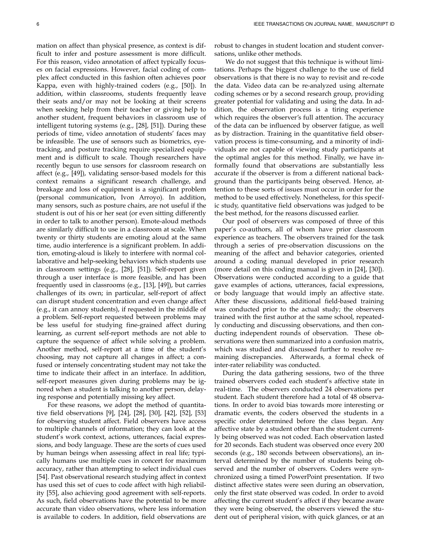mation on affect than physical presence, as context is difficult to infer and posture assessment is more difficult. For this reason, video annotation of affect typically focuses on facial expressions. However, facial coding of complex affect conducted in this fashion often achieves poor Kappa, even with highly-trained coders (e.g., [50]). In addition, within classrooms, students frequently leave their seats and/or may not be looking at their screens when seeking help from their teacher or giving help to another student, frequent behaviors in classroom use of intelligent tutoring systems (e.g., [28], [51]). During these periods of time, video annotation of students' faces may be infeasible. The use of sensors such as biometrics, eyetracking, and posture tracking require specialized equipment and is difficult to scale. Though researchers have recently begun to use sensors for classroom research on affect (e.g., [49]), validating sensor-based models for this context remains a significant research challenge, and breakage and loss of equipment is a significant problem (personal communication, Ivon Arroyo). In addition, many sensors, such as posture chairs, are not useful if the student is out of his or her seat (or even sitting differently in order to talk to another person). Emote-aloud methods are similarly difficult to use in a classroom at scale. When twenty or thirty students are emoting aloud at the same time, audio interference is a significant problem. In addition, emoting-aloud is likely to interfere with normal collaborative and help-seeking behaviors which students use in classroom settings (e.g., [28], [51]). Self-report given through a user interface is more feasible, and has been frequently used in classrooms (e.g., [13], [49]), but carries challenges of its own; in particular, self-report of affect can disrupt student concentration and even change affect (e.g., it can annoy students), if requested in the middle of a problem. Self-report requested between problems may be less useful for studying fine-grained affect during learning, as current self-report methods are not able to capture the sequence of affect while solving a problem. Another method, self-report at a time of the student's choosing, may not capture all changes in affect; a confused or intensely concentrating student may not take the time to indicate their affect in an interface. In addition, self-report measures given during problems may be ignored when a student is talking to another person, delaying response and potentially missing key affect.

For these reasons, we adopt the method of quantitative field observations [9], [24], [28], [30], [42], [52], [53] for observing student affect. Field observers have access to multiple channels of information; they can look at the student's work context, actions, utterances, facial expressions, and body language. These are the sorts of cues used by human beings when assessing affect in real life; typically humans use multiple cues in concert for maximum accuracy, rather than attempting to select individual cues [54]. Past observational research studying affect in context has used this set of cues to code affect with high reliability [55], also achieving good agreement with self-reports. As such, field observations have the potential to be more accurate than video observations, where less information is available to coders. In addition, field observations are

robust to changes in student location and student conversations, unlike other methods.

We do not suggest that this technique is without limitations. Perhaps the biggest challenge to the use of field observations is that there is no way to revisit and re-code the data. Video data can be re-analyzed using alternate coding schemes or by a second research group, providing greater potential for validating and using the data. In addition, the observation process is a tiring experience which requires the observer's full attention. The accuracy of the data can be influenced by observer fatigue, as well as by distraction. Training in the quantitative field observation process is time-consuming, and a minority of individuals are not capable of viewing study participants at the optimal angles for this method. Finally, we have informally found that observations are substantially less accurate if the observer is from a different national background than the participants being observed. Hence, attention to these sorts of issues must occur in order for the method to be used effectively. Nonetheless, for this specific study, quantitative field observations was judged to be the best method, for the reasons discussed earlier.

Our pool of observers was composed of three of this paper's co-authors, all of whom have prior classroom experience as teachers. The observers trained for the task through a series of pre-observation discussions on the meaning of the affect and behavior categories, oriented around a coding manual developed in prior research (more detail on this coding manual is given in [24], [30]). Observations were conducted according to a guide that gave examples of actions, utterances, facial expressions, or body language that would imply an affective state. After these discussions, additional field-based training was conducted prior to the actual study; the observers trained with the first author at the same school, repeatedly conducting and discussing observations, and then conducting independent rounds of observation. These observations were then summarized into a confusion matrix, which was studied and discussed further to resolve remaining discrepancies. Afterwards, a formal check of inter-rater reliability was conducted.

During the data gathering sessions, two of the three trained observers coded each student's affective state in real-time. The observers conducted 24 observations per student. Each student therefore had a total of 48 observations. In order to avoid bias towards more interesting or dramatic events, the coders observed the students in a specific order determined before the class began. Any affective state by a student other than the student currently being observed was not coded. Each observation lasted for 20 seconds. Each student was observed once every 200 seconds (e.g., 180 seconds between observations), an interval determined by the number of students being observed and the number of observers. Coders were synchronized using a timed PowerPoint presentation. If two distinct affective states were seen during an observation, only the first state observed was coded. In order to avoid affecting the current student's affect if they became aware they were being observed, the observers viewed the student out of peripheral vision, with quick glances, or at an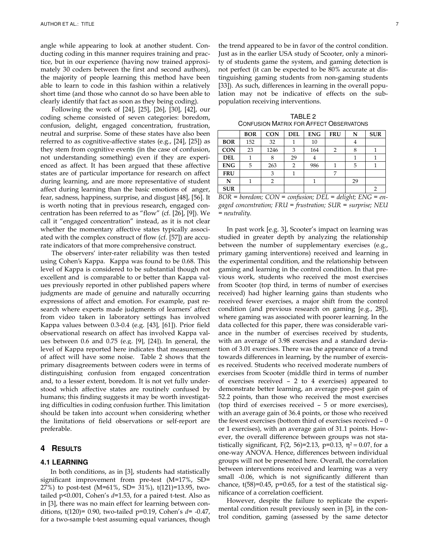angle while appearing to look at another student. Conducting coding in this manner requires training and practice, but in our experience (having now trained approximately 30 coders between the first and second authors), the majority of people learning this method have been able to learn to code in this fashion within a relatively short time (and those who cannot do so have been able to clearly identify that fact as soon as they being coding).

Following the work of [24], [25], [26], [30], [42], our coding scheme consisted of seven categories: boredom, confusion, delight, engaged concentration, frustration, neutral and surprise. Some of these states have also been referred to as cognitive-affective states (e.g., [24], [25]) as they stem from cognitive events (in the case of confusion, not understanding something) even if they are experienced as affect. It has been argued that these affective states are of particular importance for research on affect during learning, and are more representative of student affect during learning than the basic emotions of anger, fear, sadness, happiness, surprise, and disgust [48], [56]. It is worth noting that in previous research, engaged concentration has been referred to as "flow" (cf. [26], [9]). We call it "engaged concentration" instead, as it is not clear whether the momentary affective states typically associated with the complex construct of flow (cf. [57]) are accurate indicators of that more comprehensive construct.

The observers' inter-rater reliability was then tested using Cohen's Kappa. Kappa was found to be 0.68. This level of Kappa is considered to be substantial though not excellent and is comparable to or better than Kappa values previously reported in other published papers where judgments are made of genuine and naturally occurring expressions of affect and emotion. For example, past research where experts made judgments of learners' affect from video taken in laboratory settings has involved Kappa values between 0.3-0.4 (e.g. [43], [61]). Prior field observational research on affect has involved Kappa values between 0.6 and 0.75 (e.g. [9], [24]). In general, the level of Kappa reported here indicates that measurement of affect will have some noise. Table 2 shows that the primary disagreements between coders were in terms of distinguishing confusion from engaged concentration and, to a lesser extent, boredom. It is not yet fully understood which affective states are routinely confused by humans; this finding suggests it may be worth investigating difficulties in coding confusion further. This limitation should be taken into account when considering whether the limitations of field observations or self-report are preferable.

## **4 RESULTS**

## **4.1 LEARNING**

In both conditions, as in [3], students had statistically significant improvement from pre-test (M=17%, SD= 27%) to post-test (M=61%, SD= 31%), t(121)=13.95, twotailed  $p$ <0.001, Cohen's  $d=1.53$ , for a paired t-test. Also as in [3], there was no main effect for learning between conditions, t(120)= 0.90, two-tailed p=0.19, Cohen's  $d=$  -0.47, for a two-sample t-test assuming equal variances, though the trend appeared to be in favor of the control condition. Just as in the earlier USA study of Scooter, only a minority of students game the system, and gaming detection is not perfect (it can be expected to be 80% accurate at distinguishing gaming students from non-gaming students [33]). As such, differences in learning in the overall population may not be indicative of effects on the subpopulation receiving interventions.

TABLE 2 CONFUSION MATRIX FOR AFFECT OBSERVATONS

|            | <b>BOR</b> | <b>CON</b> | <b>DEL</b> | <b>ENG</b> | <b>FRU</b> | N  | <b>SUR</b> |
|------------|------------|------------|------------|------------|------------|----|------------|
| <b>BOR</b> | 152        | 32         |            | 10         |            | 4  |            |
| <b>CON</b> | 23         | 1246       | 3          | 164        | 2          |    |            |
| <b>DEL</b> |            | 8          | 29         | 4          |            |    |            |
| <b>ENG</b> | 5          | 263        | 2          | 986        |            | 5  |            |
| <b>FRU</b> |            | 3          |            |            | 7          |    |            |
| N          |            | 2          |            |            |            | 29 |            |
| <b>SUR</b> |            |            |            |            |            |    | 2          |

 $BOR = border; CON = confusion; DEL = delight; ENG = en$ gaged concentration; FRU = frustration; SUR = surprise; NEU = neutrality.

In past work [e.g. 3], Scooter's impact on learning was studied in greater depth by analyzing the relationship between the number of supplementary exercises (e.g., primary gaming interventions) received and learning in the experimental condition, and the relationship between gaming and learning in the control condition. In that previous work, students who received the most exercises from Scooter (top third, in terms of number of exercises received) had higher learning gains than students who received fewer exercises, a major shift from the control condition (and previous research on gaming [e.g., 28]), where gaming was associated with poorer learning. In the data collected for this paper, there was considerable variance in the number of exercises received by students, with an average of 3.98 exercises and a standard deviation of 3.01 exercises. There was the appearance of a trend towards differences in learning, by the number of exercises received. Students who received moderate numbers of exercises from Scooter (middle third in terms of number of exercises received – 2 to 4 exercises) appeared to demonstrate better learning, an average pre-post gain of 52.2 points, than those who received the most exercises (top third of exercises received – 5 or more exercises), with an average gain of 36.4 points, or those who received the fewest exercises (bottom third of exercises received – 0 or 1 exercises), with an average gain of 31.1 points. However, the overall difference between groups was not statistically significant,  $F(2, 56)=2.13$ ,  $p=0.13$ ,  $\eta^2=0.07$ , for a one-way ANOVA. Hence, differences between individual groups will not be presented here. Overall, the correlation between interventions received and learning was a very small -0.06, which is not significantly different than chance,  $t(58)=0.45$ ,  $p=0.65$ , for a test of the statistical significance of a correlation coefficient.

However, despite the failure to replicate the experimental condition result previously seen in [3], in the control condition, gaming (assessed by the same detector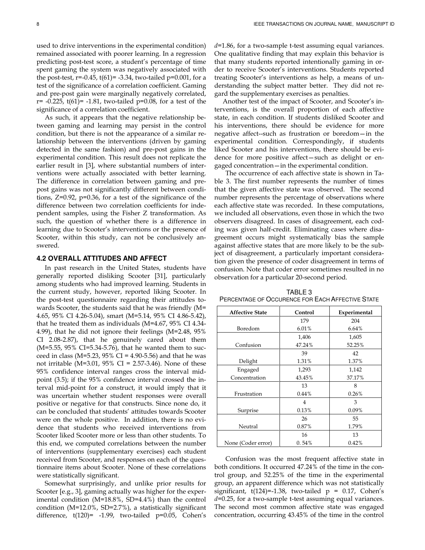used to drive interventions in the experimental condition) remained associated with poorer learning. In a regression predicting post-test score, a student's percentage of time spent gaming the system was negatively associated with the post-test,  $r=-0.45$ ,  $t(61)=-3.34$ , two-tailed  $p=0.001$ , for a test of the significance of a correlation coefficient. Gaming and pre-post gain were marginally negatively correlated,  $r= -0.225$ ,  $t(61)= -1.81$ , two-tailed  $p=0.08$ , for a test of the significance of a correlation coefficient.

As such, it appears that the negative relationship between gaming and learning may persist in the control condition, but there is not the appearance of a similar relationship between the interventions (driven by gaming detected in the same fashion) and pre-post gains in the experimental condition. This result does not replicate the earlier result in [3], where substantial numbers of interventions were actually associated with better learning. The difference in correlation between gaming and prepost gains was not significantly different between conditions, Z=0.92, p=0.36, for a test of the significance of the difference between two correlation coefficients for independent samples, using the Fisher Z transformation. As such, the question of whether there is a difference in learning due to Scooter's interventions or the presence of Scooter, within this study, can not be conclusively answered.

#### **4.2 OVERALL ATTITUDES AND AFFECT**

In past research in the United States, students have generally reported disliking Scooter [31], particularly among students who had improved learning. Students in the current study, however, reported liking Scooter. In the post-test questionnaire regarding their attitudes towards Scooter, the students said that he was friendly (M= 4.65, 95% CI 4.26-5.04), smart (M=5.14, 95% CI 4.86-5.42), that he treated them as individuals (M=4.67, 95% CI 4.34- 4.99), that he did not ignore their feelings (M=2.48, 95% CI 2.08-2.87), that he genuinely cared about them (M=5.55, 95% CI=5.34-5.76), that he wanted them to succeed in class (M=5.23, 95% CI = 4.90-5.56) and that he was not irritable (M=3.01, 95% CI = 2.57-3.46). None of these 95% confidence interval ranges cross the interval midpoint (3.5); if the 95% confidence interval crossed the interval mid-point for a construct, it would imply that it was uncertain whether student responses were overall positive or negative for that constructs. Since none do, it can be concluded that students' attitudes towards Scooter were on the whole positive. In addition, there is no evidence that students who received interventions from Scooter liked Scooter more or less than other students. To this end, we computed correlations between the number of interventions (supplementary exercises) each student received from Scooter, and responses on each of the questionnaire items about Scooter. None of these correlations were statistically significant.

Somewhat surprisingly, and unlike prior results for Scooter [e.g., 3], gaming actually was higher for the experimental condition (M=18.8%, SD=4.4%) than the control condition (M=12.0%, SD=2.7%), a statistically significant difference, t(120)= -1.99, two-tailed p=0.05, Cohen's  $d=1.86$ , for a two-sample t-test assuming equal variances. One qualitative finding that may explain this behavior is that many students reported intentionally gaming in order to receive Scooter's interventions. Students reported treating Scooter's interventions as help, a means of understanding the subject matter better. They did not regard the supplementary exercises as penalties.

Another test of the impact of Scooter, and Scooter's interventions, is the overall proportion of each affective state, in each condition. If students disliked Scooter and his interventions, there should be evidence for more negative affect--such as frustration or boredom—in the experimental condition. Correspondingly, if students liked Scooter and his interventions, there should be evidence for more positive affect—such as delight or engaged concentration—in the experimental condition.

The occurrence of each affective state is shown in Table 3. The first number represents the number of times that the given affective state was observed. The second number represents the percentage of observations where each affective state was recorded. In these computations, we included all observations, even those in which the two observers disagreed. In cases of disagreement, each coding was given half-credit. Eliminating cases where disagreement occurs might systematically bias the sample against affective states that are more likely to be the subject of disagreement, a particularly important consideration given the presence of coder disagreement in terms of confusion. Note that coder error sometimes resulted in no observation for a particular 20-second period.

| <b>Affective State</b> | Control | Experimental |  |
|------------------------|---------|--------------|--|
|                        | 179     | 204          |  |
| Boredom                | 6.01%   | 6.64%        |  |
|                        | 1,406   | 1,605        |  |
| Confusion              | 47.24%  | 52.25%       |  |
|                        | 39      | 42           |  |
| Delight                | 1.31%   | 1.37%        |  |
| Engaged                | 1,293   | 1,142        |  |
| Concentration          | 43.45%  | 37.17%       |  |
|                        | 13      | 8            |  |
| Frustration            | 0.44%   | 0.26%        |  |
|                        | 4       | 3            |  |
| Surprise               | 0.13%   | 0.09%        |  |
|                        | 26      | 55           |  |
| Neutral                | 0.87%   | 1.79%        |  |
|                        | 16      | 13           |  |
| None (Coder error)     | 0.54%   | 0.42%        |  |

TABLE 3 PERCENTAGE OF OCCURENCE FOR EACH AFFECTIVE STATE

Confusion was the most frequent affective state in both conditions. It occurred 47.24% of the time in the control group, and 52.25% of the time in the experimental group, an apparent difference which was not statistically significant, t(124)=-1.38, two-tailed  $p = 0.17$ , Cohen's  $d=0.25$ , for a two-sample t-test assuming equal variances. The second most common affective state was engaged concentration, occurring 43.45% of the time in the control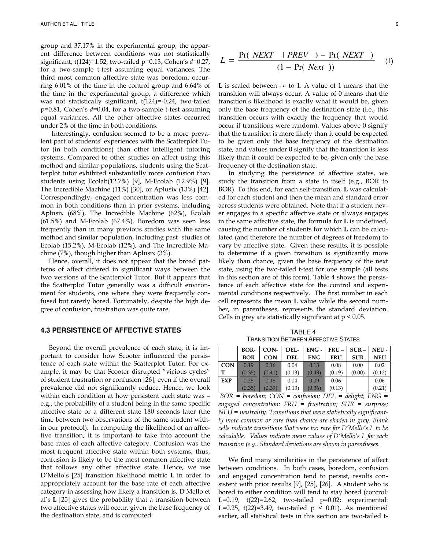group and 37.17% in the experimental group; the apparent difference between conditions was not statistically significant,  $t(124)=1.52$ , two-tailed  $p=0.13$ , Cohen's  $d=0.27$ , for a two-sample t-test assuming equal variances. The third most common affective state was boredom, occurring 6.01% of the time in the control group and 6.64% of the time in the experimental group, a difference which was not statistically significant, t(124)=-0.24, two-tailed  $p=0.81$ , Cohen's  $d=0.04$ , for a two-sample t-test assuming equal variances. All the other affective states occurred under 2% of the time in both conditions.

Interestingly, confusion seemed to be a more prevalent part of students' experiences with the Scatterplot Tutor (in both conditions) than other intelligent tutoring systems. Compared to other studies on affect using this method and similar populations, students using the Scatterplot tutor exhibited substantially more confusion than students using Ecolab(12.7%) [9], M-Ecolab (12.9%) [9], The Incredible Machine (11%) [30], or Aplusix (13%) [42]. Correspondingly, engaged concentration was less common in both conditions than in prior systems, including Aplusix (68%), The Incredible Machine (62%), Ecolab (61.5%) and M-Ecolab (67.4%). Boredom was seen less frequently than in many previous studies with the same method and similar population, including past studies of Ecolab (15.2%), M-Ecolab (12%), and The Incredible Machine (7%), though higher than Aplusix (3%).

Hence, overall, it does not appear that the broad patterns of affect differed in significant ways between the two versions of the Scatterplot Tutor. But it appears that the Scatterplot Tutor generally was a difficult environment for students, one where they were frequently confused but rarerly bored. Fortunately, despite the high degree of confusion, frustration was quite rare.

## **4.3 PERSISTENCE OF AFFECTIVE STATES**

Beyond the overall prevalence of each state, it is important to consider how Scooter influenced the persistence of each state within the Scatterplot Tutor. For example, it may be that Scooter disrupted "vicious cycles" of student frustration or confusion [26], even if the overall prevalence did not significantly reduce. Hence, we look within each condition at how persistent each state was – e.g., the probability of a student being in the same specific affective state or a different state 180 seconds later (the time between two observations of the same student within our protocol). In computing the likelihood of an affective transition, it is important to take into account the base rates of each affective category. Confusion was the most frequent affective state within both systems; thus, confusion is likely to be the most common affective state that follows any other affective state. Hence, we use D'Mello's [25] transition likelihood metric L in order to appropriately account for the base rate of each affective category in assessing how likely a transition is. D'Mello et al's L [25] gives the probability that a transition between two affective states will occur, given the base frequency of the destination state, and is computed:

$$
L = \frac{\Pr(\text{ NEXT} \mid \text{PREV}) - \Pr(\text{ NEXT})}{(1 - \Pr(\text{Next}))} \tag{1}
$$

L is scaled between - $\infty$  to 1. A value of 1 means that the transition will always occur. A value of 0 means that the transition's likelihood is exactly what it would be, given only the base frequency of the destination state (i.e., this transition occurs with exactly the frequency that would occur if transitions were random). Values above 0 signify that the transition is more likely than it could be expected to be given only the base frequency of the destination state, and values under 0 signify that the transition is less likely than it could be expected to be, given only the base frequency of the destination state.

In studying the persistence of affective states, we study the transition from a state to itself (e.g., BOR to BOR). To this end, for each self-transition, L was calculated for each student and then the mean and standard error across students were obtained. Note that if a student never engages in a specific affective state or always engages in the same affective state, the formula for L is undefined, causing the number of students for which L can be calculated (and therefore the number of degrees of freedom) to vary by affective state. Given these results, it is possible to determine if a given transition is significantly more likely than chance, given the base frequency of the next state, using the two-tailed t-test for one sample (all tests in this section are of this form). Table 4 shows the persistence of each affective state for the control and experimental conditions respectively. The first number in each cell represents the mean L value while the second number, in parentheses, represents the standard deviation. Cells in grey are statistically significant at  $p < 0.05$ .

TABLE 4 TRANSITION BETWEEN AFFECTIVE STATES

|            | BOR-       | CON-       | DEL-       |            | $ ENG - IRU - ISUR - INEU -$ |            |            |
|------------|------------|------------|------------|------------|------------------------------|------------|------------|
|            | <b>BOR</b> | <b>CON</b> | <b>DEL</b> | <b>ENG</b> | <b>FRU</b>                   | <b>SUR</b> | <b>NEU</b> |
| <b>CON</b> | 0.19       | 0.16       | 0.04       | 0.13       | 0.08                         | 0.00       | 0.02       |
| T          | (0.35)     | (0.41)     | (0.13)     | (0.43)     | (0.19)                       | (0.00)     | (0.12)     |
| EXP        | 0.25       | 0.18       | 0.04       | 0.09       | 0.06                         |            | 0.06       |
|            | (0.35)     | (0.39)     | (0.13)     | (0.36)     | (0.13)                       |            | (0.21)     |

 $BOR = border; CON = confusion; DEL = delight; ENG =$ engaged concentration; FRU = frustration; SUR = surprise;  $NEU =$  neutrality. Transitions that were statistically significantly more common or rare than chance are shaded in grey. Blank cells indicate transitions that were too rare for D'Mello's L to be calculable. Values indicate mean values of D'Mello's L for each transition (e.g., Standard deviations are shown in parentheses.

We find many similarities in the persistence of affect between conditions. In both cases, boredom, confusion and engaged concentration tend to persist, results consistent with prior results [9], [25], [26]. A student who is bored in either condition will tend to stay bored (control: L=0.19,  $t(22)=2.62$ , two-tailed  $p=0.02$ ; experimental: L=0.25, t(22)=3.49, two-tailed  $p < 0.01$ ). As mentioned earlier, all statistical tests in this section are two-tailed t-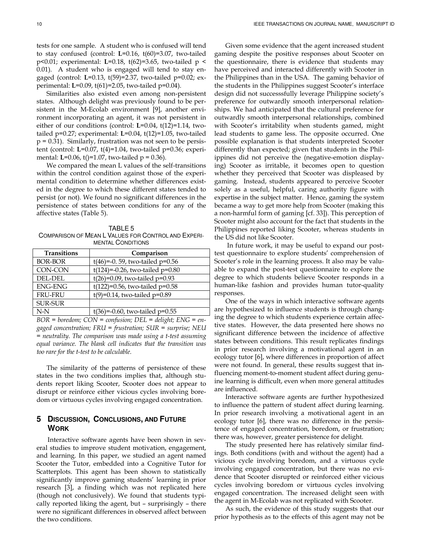tests for one sample. A student who is confused will tend to stay confused (control: L=0.16, t(60)=3.07, two-tailed p<0.01; experimental: L=0.18, t(62)=3.65, two-tailed p < 0.01). A student who is engaged will tend to stay engaged (control: L=0.13, t(59)=2.37, two-tailed p=0.02; experimental: L=0.09, t(61)=2.05, two-tailed p=0.04).

Similarities also existed even among non-persistent states. Although delight was previously found to be persistent in the M-Ecolab environment [9], another environment incorporating an agent, it was not persistent in either of our conditions (control: L=0.04, t(12)=1.14, twotailed p=0.27; experimental: L=0.04, t(12)=1.05, two-tailed  $p = 0.31$ ). Similarly, frustration was not seen to be persistent (control:  $L=0.07$ ,  $t(4)=1.04$ , two-tailed  $p=0.36$ ; experimental: **L**=0.06, t()=1.07, two-tailed  $p = 0.36$ ).

We compared the mean L values of the self-transitions within the control condition against those of the experimental condition to determine whether differences existed in the degree to which these different states tended to persist (or not). We found no significant differences in the persistence of states between conditions for any of the affective states (Table 5).

TABLE 5 COMPARISON OF MEAN L VALUES FOR CONTROL AND EXPERI-MENTAL CONDITIONS

| <b>Transitions</b> | Comparison                         |
|--------------------|------------------------------------|
| <b>BOR-BOR</b>     | $t(46)=-0.59$ , two-tailed p=0.56  |
| CON-CON            | $t(124)=-0.26$ , two-tailed p=0.80 |
| DEL-DEL            | $t(26)=0.09$ , two-tailed p=0.93   |
| <b>ENG-ENG</b>     | $t(122)=0.56$ , two-tailed p=0.58  |
| <b>FRU-FRU</b>     | $t(9)=0.14$ , two-tailed p=0.89    |
| <b>SUR-SUR</b>     |                                    |
| $N-N$              | t(36)=-0.60, two-tailed $p=0.55$   |

 $BOR = border; CON = confusion; DEL = delight; ENG = en$ gaged concentration; FRU = frustration; SUR = surprise; NEU = neutrality. The comparison was made using a t-test assuming equal variance. The blank cell indicates that the transition was too rare for the t-test to be calculable.

The similarity of the patterns of persistence of these states in the two conditions implies that, although students report liking Scooter, Scooter does not appear to disrupt or reinforce either vicious cycles involving boredom or virtuous cycles involving engaged concentration.

# **5 DISCUSSION, CONCLUSIONS, AND FUTURE WORK**

Interactive software agents have been shown in several studies to improve student motivation, engagement, and learning. In this paper, we studied an agent named Scooter the Tutor, embedded into a Cognitive Tutor for Scatterplots. This agent has been shown to statistically significantly improve gaming students' learning in prior research [3], a finding which was not replicated here (though not conclusively). We found that students typically reported liking the agent, but – surprisingly – there were no significant differences in observed affect between the two conditions.

Given some evidence that the agent increased student gaming despite the positive responses about Scooter on the questionnaire, there is evidence that students may have perceived and interacted differently with Scooter in the Philippines than in the USA. The gaming behavior of the students in the Philippines suggest Scooter's interface design did not successsfully leverage Philippine society's preference for outwardly smooth interpersonal relationships. We had anticipated that the cultural preference for outwardly smooth interpersonal relationships, combined with Scooter's irritability when students gamed, might lead students to game less. The opposite occurred. One possible explanation is that students interpreted Scooter differently than expected; given that students in the Philippines did not perceive the (negative-emotion displaying) Scooter as irritable, it becomes open to question whether they perceived that Scooter was displeased by gaming. Instead, students appeared to perceive Scooter solely as a useful, helpful, caring authority figure with expertise in the subject matter. Hence, gaming the system became a way to get more help from Scooter (making this a non-harmful form of gaming [cf. 33]). This perception of Scooter might also account for the fact that students in the Philippines reported liking Scooter, whereas students in the US did not like Scooter.

 In future work, it may be useful to expand our posttest questionnaire to explore students' comprehension of Scooter's role in the learning process. It also may be valuable to expand the post-test questionnaire to explore the degree to which students believe Scooter responds in a human-like fashion and provides human tutor-quality responses.

One of the ways in which interactive software agents are hypothesized to influence students is through changing the degree to which students experience certain affective states. However, the data presented here shows no significant difference between the incidence of affective states between conditions. This result replicates findings in prior research involving a motivational agent in an ecology tutor [6], where differences in proportion of affect were not found. In general, these results suggest that influencing moment-to-moment student affect during genuine learning is difficult, even when more general attitudes are influenced.

Interactive software agents are further hypothesized to influence the pattern of student affect during learning. In prior research involving a motivational agent in an ecology tutor [6], there was no difference in the persistence of engaged concentration, boredom, or frustration; there was, however, greater persistence for delight.

The study presented here has relatively similar findings. Both conditions (with and without the agent) had a vicious cycle involving boredom, and a virtuous cycle involving engaged concentration, but there was no evidence that Scooter disrupted or reinforced either vicious cycles involving boredom or virtuous cycles involving engaged concentration. The increased delight seen with the agent in M-Ecolab was not replicated with Scooter.

As such, the evidence of this study suggests that our prior hypothesis as to the effects of this agent may not be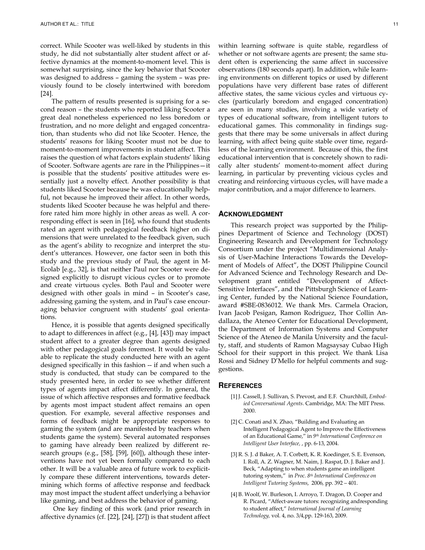correct. While Scooter was well-liked by students in this study, he did not substantially alter student affect or affective dynamics at the moment-to-moment level. This is somewhat surprising, since the key behavior that Scooter was designed to address – gaming the system – was previously found to be closely intertwined with boredom [24].

The pattern of results presented is suprising for a second reason – the students who reported liking Scooter a great deal nonetheless experienced no less boredom or frustration, and no more delight and engaged concentration, than students who did not like Scooter. Hence, the students' reasons for liking Scooter must not be due to moment-to-moment improvements in student affect. This raises the question of what factors explain students' liking of Scooter. Software agents are rare in the Philippines—it is possible that the students' positive attitudes were essentially just a novelty effect. Another possibility is that students liked Scooter because he was educationally helpful, not because he improved their affect. In other words, students liked Scooter because he was helpful and therefore rated him more highly in other areas as well. A corresponding effect is seen in [16], who found that students rated an agent with pedagogical feedback higher on dimensions that were unrelated to the feedback given, such as the agent's ability to recognize and interpret the student's utterances. However, one factor seen in both this study and the previous study of Paul, the agent in M-Ecolab [e.g., 32], is that neither Paul nor Scooter were designed explicitly to disrupt vicious cycles or to promote and create virtuous cycles. Both Paul and Scooter were designed with other goals in mind – in Scooter's case, addressing gaming the system, and in Paul's case encouraging behavior congruent with students' goal orientations.

Hence, it is possible that agents designed specifically to adapt to differences in affect (e.g., [4], [43]) may impact student affect to a greater degree than agents designed with other pedagogical goals foremost. It would be valuable to replicate the study conducted here with an agent designed specifically in this fashion -- if and when such a study is conducted, that study can be compared to the study presented here, in order to see whether different types of agents impact affect differently. In general, the issue of which affective responses and formative feedback by agents most impact student affect remains an open question. For example, several affective responses and forms of feedback might be appropriate responses to gaming the system (and are manifested by teachers when students game the system). Several automated responses to gaming have already been realized by different research groups (e.g., [58], [59], [60]), although these interventions have not yet been formally compared to each other. It will be a valuable area of future work to explicitly compare these different interventions, towards determining which forms of affective response and feedback may most impact the student affect underlying a behavior like gaming, and best address the behavior of gaming.

 One key finding of this work (and prior research in affective dynamics (cf. [22], [24], [27]) is that student affect within learning software is quite stable, regardless of whether or not software agents are present; the same student often is experiencing the same affect in successive observations (180 seconds apart). In addition, while learning environments on different topics or used by different populations have very different base rates of different affective states, the same vicious cycles and virtuous cycles (particularly boredom and engaged concentration) are seen in many studies, involving a wide variety of types of educational software, from intelligent tutors to educational games. This commonality in findings suggests that there may be some universals in affect during learning, with affect being quite stable over time, regardless of the learning environment. Because of this, the first educational intervention that is concretely shown to radically alter students' moment-to-moment affect during learning, in particular by preventing vicious cycles and creating and reinforcing virtuous cycles, will have made a major contribution, and a major difference to learners.

#### **ACKNOWLEDGMENT**

This research project was supported by the Philippines Department of Science and Technology (DOST) Engineering Research and Development for Technology Consortium under the project "Multidimensional Analysis of User-Machine Interactions Towards the Development of Models of Affect", the DOST Philippine Council for Advanced Science and Technology Research and Development grant entitled "Development of Affect-Sensitive Interfaces", and the Pittsburgh Science of Learning Center, funded by the National Science Foundation, award #SBE-0836012. We thank Mrs. Carmela Oracion, Ivan Jacob Pesigan, Ramon Rodriguez, Thor Collin Andallaza, the Ateneo Center for Educational Development, the Department of Information Systems and Computer Science of the Ateneo de Manila University and the faculty, staff, and students of Ramon Magsaysay Cubao High School for their support in this project. We thank Lisa Rossi and Sidney D'Mello for helpful comments and suggestions.

#### **REFERENCES**

- [1] J. Cassell, J. Sullivan, S. Prevost, and E.F. Churchhill, Embodied Conversational Agents. Cambridge, MA: The MIT Press. 2000.
- [2] C. Conati and X. Zhao, "Building and Evaluating an Intelligent Pedagogical Agent to Improve the Effectiveness of an Educational Game," in 9<sup>th</sup> International Conference on Intelligent User Interface, , pp. 6-13, 2004.
- [3] R. S. J. d Baker, A. T. Corbett, K. R. Koedinger, S. E. Evenson, I. Roll, A. Z. Wagner, M. Naim, J. Raspat, D. J. Baker and J. Beck, "Adapting to when students game an intelligent tutoring system," in Proc. 8<sup>th</sup> International Conference on Intelligent Tutoring Systems, 2006, pp. 392 – 401.
- [4] B. Woolf, W. Burleson, I. Arroyo, T. Dragon, D. Cooper and R. Picard, "Affect-aware tutors: recognizing andresponding to student affect," International Journal of Learning Technology, vol. 4, no. 3/4,pp. 129-163, 2009.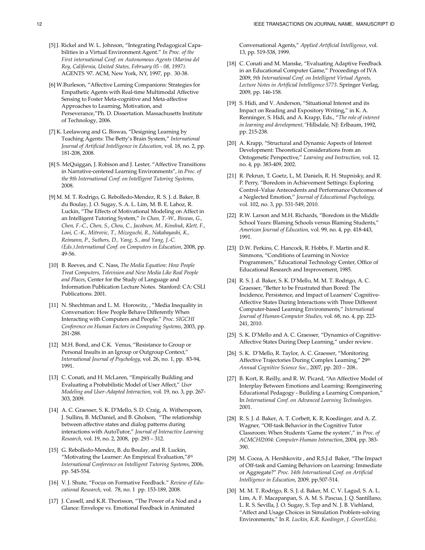- [5] J. Rickel and W. L. Johnson, "Integrating Pedagogical Capabilities in a Virtual Environment Agent." In Proc. of the First international Conf. on Autonomous Agents (Marina del Rey, California, United States, February 05 - 08, 1997). AGENTS '97. ACM, New York, NY, 1997, pp. 30-38.
- [6] W.Burleson, "Affective Larning Companions: Strategies for Empathetic Agents with Real-time Multimodal Affective Sensing to Foster Meta-cognitive and Meta-affective Approaches to Learning, Motivation, and Perseverance,"Ph. D. Dissertation. Massachusetts Institute of Technology, 2006.
- [7] K. Leelawong and G. Biswas, "Designing Learning by Teaching Agents: The Betty's Brain System," International Journal of Artificial Intelligence in Education, vol. 18, no. 2, pp. 181-208, 2008.
- [8] S. McQuiggan, J. Robison and J. Lester, "Affective Transitions in Narrative-centered Learning Environments", in Proc. of the 9th International Conf. on Intelligent Tutoring Systems, 2008.
- [9] M. M. T. Rodrigo, G. Rebolledo-Mendez, R. S. J. d. Baker, B. du Boulay, J. O. Sugay, S. A. L. Lim, M. B. E. Lahoz, R. Luckin, "The Effects of Motivational Modeling on Affect in an Intelligent Tutoring System," In Chan, T.-W., Biswas, G., Chen, F.-C., Chen, S., Chou, C., Jacobson, M., Kinshuk, Klett, F., Looi, C.-K., Mitrovic, T., Mizoguchi, R., Nakabayashi, K., Reimann, P., Suthers, D., Yang, S., and Yang, J.-C. (Eds.).International Conf. on Computers in Education, 2008, pp. 49-56.
- [10] B. Reeves, and C. Nass, The Media Equation: How People Treat Computers, Television and New Media Like Real People and Places, Center for the Study of Language and Information Publication Lecture Notes. Stanford: CA: CSLI Publications. 2001.
- [11] N. Shechtman and L. M. Horowitz, , "Media Inequality in Conversation: How People Behave Differently When Interacting with Computers and People." Proc. SIGCHI Conference on Human Factors in Computing Systems, 2003, pp. 281-288.
- [12] M.H. Bond, and C.K. Venus, "Resistance to Group or Personal Insults in an Igroup or Outgroup Context," International Journal of Psychology, vol. 26, no. 1, pp. 83-94, 1991.
- [13] C. Conati, and H. McLaren, "Empirically Building and Evaluating a Probabilistic Model of User Affect," User Modeling and User-Adapted Interaction, vol. 19, no. 3, pp. 267- 303, 2009.
- [14] A. C. Graesser, S. K. D'Mello, S. D. Craig, A. Witherspoon, J. Sullins, B. McDaniel, and B. Gholson, "The relationship between affective states and dialog patterns during interactions with AutoTutor," Journal of Interactive Learning Research, vol. 19, no. 2, 2008, pp. 293 – 312.
- [15] G. Rebolledo-Mendez, B. du Boulay, and R. Luckin, "Motivating the Learner: An Empirical Evaluation," $8$ <sup>th</sup> International Conference on Intelligent Tutoring Systems, 2006, pp. 545-554.
- [16] V. J. Shute, "Focus on Formative Feedback." Review of Educational Research, vol. 78, no. 1 pp. 153-189, 2008.
- [17] J. Cassell, and K.R. Thorisson, "The Power of a Nod and a Glance: Envelope vs. Emotional Feedback in Animated

Conversational Agents," Applied Artificial Intelligence, vol. 13, pp. 519-538, 1999.

- [18] C. Conati and M. Manske, "Evaluating Adaptive Feedback in an Educational Computer Game," Proceedings of IVA 2009, 9th International Conf. on Intelligent Virtual Agents, Lecture Notes in Artificial Intelligence 5773. Springer Verlag, 2009, pp. 146-158.
- [19] S. Hidi, and V. Anderson, "Situational Interest and its Impact on Reading and Expository Writing," in K. A. Renninger, S. Hidi, and A. Krapp, Eds., "The role of interest in learning and development,"Hillsdale, NJ: Erlbaum, 1992, pp. 215-238.
- [20] A. Krapp, "Structural and Dynamic Aspects of Interest Development: Theoretical Considerations from an Ontogenetic Perspective," Learning and Instruction, vol. 12, no. 4, pp. 383-409, 2002.
- [21] R. Pekrun, T. Goetz, L, M. Daniels, R. H. Stupnisky, and R. P. Perry, "Boredom in Achievement Settings: Exploring Control–Value Antecedents and Performance Outcomes of a Neglected Emotion," Journal of Educational Psychology, vol. 102, no. 3, pp. 531-549, 2010.
- [22] R.W. Larson and M.H. Richards, "Boredom in the Middle School Years: Blaming Schools versus Blaming Students," American Journal of Education, vol. 99, no. 4, pp. 418-443, 1991.
- [23] D.W. Perkins, C. Hancock, R. Hobbs, F. Martin and R. Simmons, "Conditions of Learning in Novice Programmers," Educational Technology Center, Office of Educational Research and Improvement, 1985.
- [24] R. S. J. d. Baker, S. K. D'Mello, M. M. T. Rodrigo, A. C. Graesser, "Better to be Frustrated than Bored: The Incidence, Persistence, and Impact of Learners' Cognitive-Affective States During Interactions with Three Different Computer-based Learning Environments," International Journal of Human-Computer Studies, vol. 68, no. 4, pp. 223- 241, 2010.
- [25] S. K. D'Mello and A. C. Graesser, "Dynamics of Cognitive-Affective States During Deep Learning," under review.
- [26] S. K. D'Mello, R. Taylor, A. C. Graesser, "Monitoring Affective Trajectories During Complex Learning," 29th Annual Cognitive Science Soc., 2007, pp. 203 – 208..
- [27] B. Kort, R. Reilly, and R. W. Picard, "An Affective Model of Interplay Between Emotions and Learning: Reengineering Educational Pedagogy - Building a Learning Companion," In International Conf. on Advanced Learning Technologies. 2001.
- [28] R. S. J. d. Baker, A. T. Corbett, K. R. Koedinger, and A. Z. Wagner, "Off-task Behavior in the Cognitive Tutor Classroom: When Students 'Game the system'," in Proc. of ACMCHI2004: Computer-Human Interaction, 2004, pp. 383- 390.
- [29] M. Cocea, A. Hershkovitz , and R.S.J.d Baker, "The Impact of Off-task and Gaming Behaviors on Learning: Immediate or Aggregate?" Proc. 14th International Conf. on Artificial Intelligence in Education, 2009, pp.507-514.
- [30] M. M. T. Rodrigo, R. S. J. d. Baker, M. C. V. Lagud, S. A. L. Lim, A. F. Macapanpan, S. A. M. S. Pascua, J. Q. Santillano, L. R. S. Sevilla, J. O. Sugay, S. Tep and N. J. B. Viehland, "Affect and Usage Choices in Simulation Problem-solving Environments," In R. Luckin, K.R. Koedinger, J. Greer(Eds),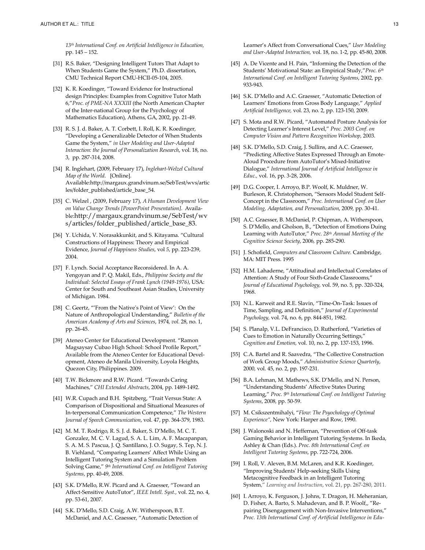13<sup>th</sup> International Conf. on Artificial Intelligence in Education, pp. 145 – 152.

- [31] R.S. Baker, "Designing Intelligent Tutors That Adapt to When Students Game the System," Ph.D. dissertation, CMU Technical Report CMU-HCII-05-104, 2005.
- [32] K. R. Koedinger, "Toward Evidence for Instructional design Principles: Examples from Cognitive Tutor Math 6,"Proc. of PME-NA XXXIII (the North American Chapter of the Inter-national Group for the Psychology of Mathematics Education), Athens, GA, 2002, pp. 21-49.
- [33] R. S. J. d. Baker, A. T. Corbett, I. Roll, K. R. Koedinger, "Developing a Generalizable Detector of When Students Game the System," in User Modeling and User-Adapted Interaction: the Journal of Personalization Research, vol. 18, no. 3, pp. 287-314, 2008.
- [34] R. Inglehart, (2009, February 17), Inglehart-Welzel Cultural Map of the World. [Online]. Available:http://margaux.grandvinum.se/SebTest/wvs/artic les/folder\_published/article\_base\_54.
- [35] C. Welzel, (2009, February 17), A Human Development View on Value Change Trends [PowerPoint Presentation]. Available:http://margaux.grandvinum.se/SebTest/wv s/articles/folder\_published/article\_base\_83.
- [36] Y. Uchida, V. Norasakkunkit, and S. Kitayama. "Cultural Constructions of Happiness: Theory and Empirical Evidence, Journal of Happiness Studies, vol 5, pp. 223-239, 2004.
- [37] F. Lynch. Social Acceptance Reconsidered. In A. A. Yengoyan and P. Q. Makil, Eds., Philippine Society and the Individual: Selected Essays of Frank Lynch (1949-1976), USA: Center for South and Southeast Asian Studies, University of Michigan. 1984.
- [38] C. Geertz, "'From the Native's Point of View': On the Nature of Anthropological Understanding," Bulletin of the American Academy of Arts and Sciences, 1974, vol. 28, no. 1, pp. 26-45.
- [39] Ateneo Center for Educational Development. "Ramon Magsaysay Cubao High School: School Profile Report," Available from the Ateneo Center for Educational Development, Ateneo de Manila University, Loyola Heights, Quezon City, Philippines. 2009.
- [40] T.W. Bickmore and R.W. Picard. "Towards Caring Machines," CHI Extended Abstracts, 2004, pp. 1489-1492.
- [41] W.R. Cupach and B.H. Spitzberg, "Trait Versus State: A Comparison of Dispositional and Situational Measures of In-terpersonal Communication Competence," The Western Journal of Speech Communication, vol. 47, pp. 364-379, 1983.
- [42] M. M. T. Rodrigo, R. S. J. d. Baker, S. D'Mello, M. C. T. Gonzalez, M. C. V. Lagud, S. A. L. Lim, A. F. Macapanpan, S. A. M. S. Pascua, J. Q. Santillano, J. O. Sugay, S. Tep, N. J. B. Viehland, "Comparing Learners' Affect While Using an Intelligent Tutoring System and a Simulation Problem Solving Game," <sup>9th</sup> International Conf. on Intelligent Tutoring Systems, pp. 40-49, 2008.
- [43] S.K. D'Mello, R.W. Picard and A. Graesser, "Toward an Affect-Sensitive AutoTutor", IEEE Intell. Syst., vol. 22, no. 4, pp. 53-61, 2007.
- [44] S.K. D'Mello, S.D. Craig, A.W. Witherspoon, B.T. McDaniel, and A.C. Graesser, "Automatic Detection of

Learner's Affect from Conversational Cues," User Modeling and User-Adapted Interaction, vol. 18, no. 1-2, pp. 45-80, 2008.

- [45] A. De Vicente and H. Pain, "Informing the Detection of the Students' Motivational State: an Empirical Study," Proc. 6<sup>th</sup> International Conf. on Intelligent Tutoring Systems, 2002, pp. 933-943.
- [46] S.K. D'Mello and A.C. Graesser, "Automatic Detection of Learners' Emotions from Gross Body Language," Applied Artificial Intelligence, vol. 23, no. 2, pp. 123-150, 2009.
- [47] S. Mota and R.W. Picard, "Automated Posture Analysis for Detecting Learner's Interest Level," Proc. 2003 Conf. on Computer Vision and Pattern Recognition Workshop, 2003.
- [48] S.K. D'Mello, S.D. Craig, J. Sullins, and A.C. Graesser, "Predicting Affective States Expressed Through an Emote-Aloud Procedure from AutoTutor's Mixed-Initiative Dialogue," International Journal of Artificial Intelligence in Educ., vol. 16, pp. 3-28, 2006.
- [49] D.G. Cooper, I. Arroyo, B.P. Woolf, K. Muldner, W. Burleson, R. Christopherson, "Sensors Model Student Self-Concept in the Classroom," Proc. International Conf. on User Modeling, Adaptation, and Personalization, 2009, pp. 30-41.
- [50] A.C. Graesser, B. McDaniel, P. Chipman, A. Witherspoon, S. D'Mello, and Gholson, B., "Detection of Emotions Duing Learning with AutoTutor," Proc. 28<sup>th</sup> Annual Meeting of the Cognitive Science Society, 2006, pp. 285-290.
- [51] J. Schofield, Computers and Classroom Culture. Cambridge, MA: MIT Press. 1995
- [52] H.M. Lahaderne, "Attitudinal and Intellectual Correlates of Attention: A Study of Four Sixth-Grade Classrooms," Journal of Educational Psychology, vol. 59, no. 5, pp. 320-324, 1968.
- [53] N.L. Karweit and R.E. Slavin, "Time-On-Task: Issues of Time, Sampling, and Definition," Journal of Experimental Psychology, vol. 74, no. 6, pp. 844-851, 1982.
- [54] S. Planalp, V.L. DeFrancisco, D. Rutherford, "Varieties of Cues to Emotion in Naturally Occurring Settings," Cognition and Emotion, vol. 10, no. 2, pp. 137-153, 1996.
- [55] C.A. Bartel and R. Saavedra, "The Collective Construction of Work Group Moods," Administrative Science Quarterly, 2000, vol. 45, no. 2, pp. 197-231.
- [56] B.A. Lehman, M. Mathews, S.K. D'Mello, and N. Person, "Understanding Students' Affective States During Learning," Proc. 9<sup>th</sup> International Conf. on Intelligent Tutoring Systems, 2008, pp. 50-59.
- [57] M. Csikszentmihalyi, "Flow: The Psyochology of Optimal Experience", New York: Harper and Row, 1990.
- [58] J. Walonoski and N. Heffernan, "Prevention of Off-task Gaming Behavior in Intelligent Tutoring Systems. In Ikeda, Ashley & Chan (Eds.). Proc. 8th International Conf. on Intelligent Tutoring Systems, pp. 722-724, 2006.
- [59] I. Roll, V. Aleven, B.M. McLaren, and K.R. Koedinger, "Improving Students' Help-seeking Skills Using Metacognitive Feedback in an Intelligent Tutoring System," Learning and Instruction, vol. 21, pp. 267-280, 2011.
- [60] I. Arroyo, K. Ferguson, J. Johns, T. Dragon, H. Meheranian, D. Fisher, A. Barto, S. Mahadevan, and B. P. Woolf,, "Repairing Disengagement with Non-Invasive Interventions," Proc. 13th International Conf. of Artificial Intelligence in Edu-